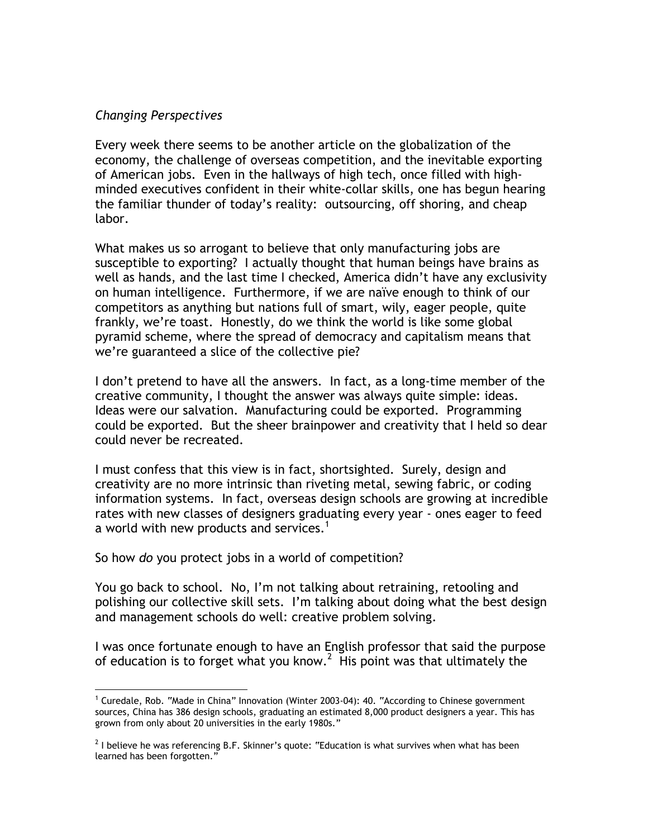## *Changing Perspectives*

Every week there seems to be another article on the globalization of the economy, the challenge of overseas competition, and the inevitable exporting of American jobs. Even in the hallways of high tech, once filled with highminded executives confident in their white-collar skills, one has begun hearing the familiar thunder of today's reality: outsourcing, off shoring, and cheap labor.

What makes us so arrogant to believe that only manufacturing jobs are susceptible to exporting? I actually thought that human beings have brains as well as hands, and the last time I checked, America didn't have any exclusivity on human intelligence. Furthermore, if we are naïve enough to think of our competitors as anything but nations full of smart, wily, eager people, quite frankly, we're toast. Honestly, do we think the world is like some global pyramid scheme, where the spread of democracy and capitalism means that we're guaranteed a slice of the collective pie?

I don't pretend to have all the answers. In fact, as a long-time member of the creative community, I thought the answer was always quite simple: ideas. Ideas were our salvation. Manufacturing could be exported. Programming could be exported. But the sheer brainpower and creativity that I held so dear could never be recreated.

I must confess that this view is in fact, shortsighted. Surely, design and creativity are no more intrinsic than riveting metal, sewing fabric, or coding information systems. In fact, overseas design schools are growing at incredible rates with new classes of designers graduating every year - ones eager to feed a world with new products and services.<sup>1</sup>

So how *do* you protect jobs in a world of competition?

You go back to school. No, I'm not talking about retraining, retooling and polishing our collective skill sets. I'm talking about doing what the best design and management schools do well: creative problem solving.

I was once fortunate enough to have an English professor that said the purpose of education is to forget what you know.<sup>2</sup> His point was that ultimately the

 $\frac{1}{1}$  $1$  Curedale, Rob. "Made in China" Innovation (Winter 2003-04): 40. "According to Chinese government sources, China has 386 design schools, graduating an estimated 8,000 product designers a year. This has grown from only about 20 universities in the early 1980s."

 $^2$  I believe he was referencing B.F. Skinner's quote: "Education is what survives when what has been learned has been forgotten."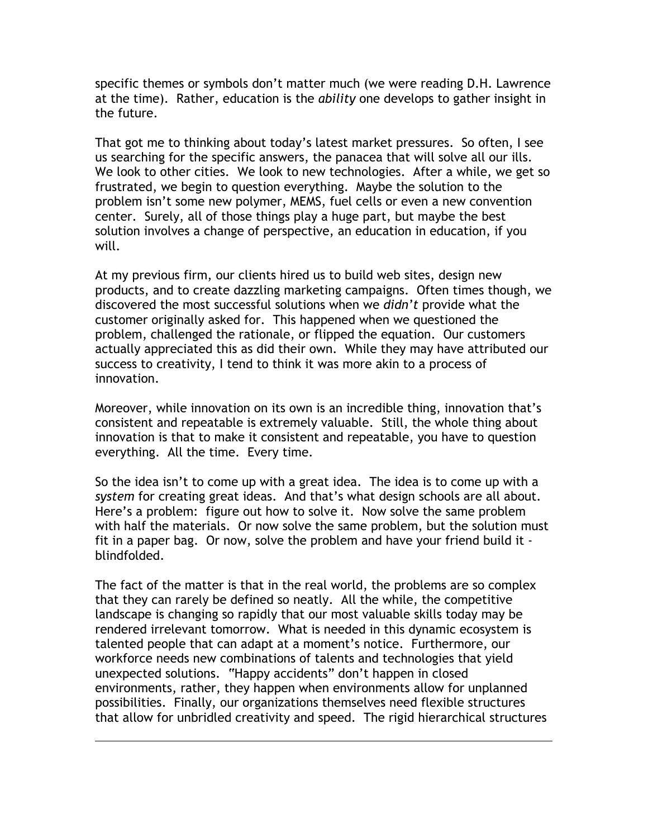specific themes or symbols don't matter much (we were reading D.H. Lawrence at the time). Rather, education is the *ability* one develops to gather insight in the future.

That got me to thinking about today's latest market pressures. So often, I see us searching for the specific answers, the panacea that will solve all our ills. We look to other cities. We look to new technologies. After a while, we get so frustrated, we begin to question everything. Maybe the solution to the problem isn't some new polymer, MEMS, fuel cells or even a new convention center. Surely, all of those things play a huge part, but maybe the best solution involves a change of perspective, an education in education, if you will.

At my previous firm, our clients hired us to build web sites, design new products, and to create dazzling marketing campaigns. Often times though, we discovered the most successful solutions when we *didn't* provide what the customer originally asked for. This happened when we questioned the problem, challenged the rationale, or flipped the equation. Our customers actually appreciated this as did their own. While they may have attributed our success to creativity, I tend to think it was more akin to a process of innovation.

Moreover, while innovation on its own is an incredible thing, innovation that's consistent and repeatable is extremely valuable. Still, the whole thing about innovation is that to make it consistent and repeatable, you have to question everything. All the time. Every time.

So the idea isn't to come up with a great idea. The idea is to come up with a *system* for creating great ideas. And that's what design schools are all about. Here's a problem: figure out how to solve it. Now solve the same problem with half the materials. Or now solve the same problem, but the solution must fit in a paper bag. Or now, solve the problem and have your friend build it blindfolded.

The fact of the matter is that in the real world, the problems are so complex that they can rarely be defined so neatly. All the while, the competitive landscape is changing so rapidly that our most valuable skills today may be rendered irrelevant tomorrow. What is needed in this dynamic ecosystem is talented people that can adapt at a moment's notice. Furthermore, our workforce needs new combinations of talents and technologies that yield unexpected solutions. "Happy accidents" don't happen in closed environments, rather, they happen when environments allow for unplanned possibilities. Finally, our organizations themselves need flexible structures that allow for unbridled creativity and speed. The rigid hierarchical structures

 $\overline{a}$